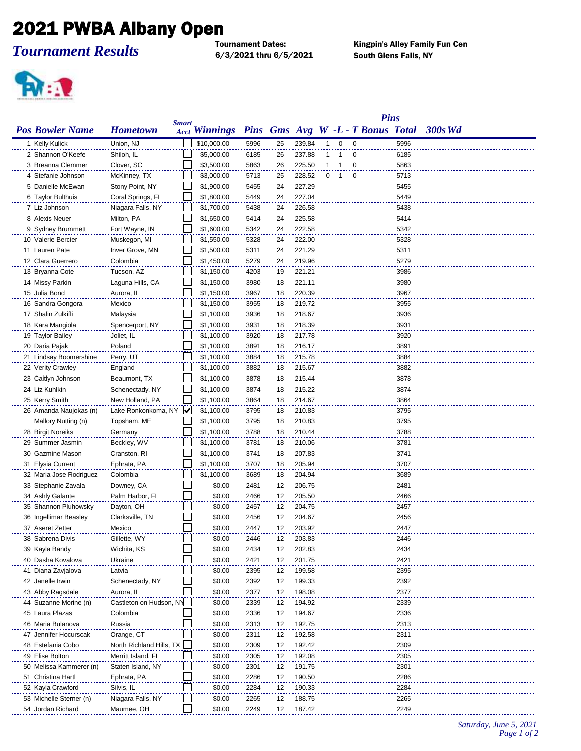## 2021 PWBA Albany Open

*Tournament Results*

6/3/2021 thru 6/5/2021 South Glens Falls, NY

Kingpin's Alley Family Fun Cen



|                         | <b>Pins</b>              |              |                      |      |    |        |              |                |                                   |      |         |
|-------------------------|--------------------------|--------------|----------------------|------|----|--------|--------------|----------------|-----------------------------------|------|---------|
| <b>Pos Bowler Name</b>  | <b>Hometown</b>          | <b>Smart</b> | <b>Acct Winnings</b> |      |    |        |              |                | Pins Gms Avg W -L - T Bonus Total |      | 300s Wd |
| 1 Kelly Kulick          | Union, NJ                |              | \$10,000.00          | 5996 | 25 | 239.84 | -1           | $\mathbf 0$    | 0                                 | 5996 |         |
| 2 Shannon O'Keefe       | Shiloh, IL               |              | \$5,000.00           | 6185 | 26 | 237.88 | $\mathbf{1}$ | $\mathbf 1$    | $\mathbf 0$                       | 6185 |         |
| 3 Breanna Clemmer       | Clover, SC               |              | \$3,500.00           | 5863 | 26 | 225.50 | $\mathbf{1}$ | $\overline{1}$ | 0                                 | 5863 |         |
| 4 Stefanie Johnson      | McKinney, TX             |              | \$3,000.00           | 5713 | 25 | 228.52 | 0            | $\overline{1}$ | $\overline{\mathbf{0}}$           | 5713 |         |
| 5 Danielle McEwan       | Stony Point, NY          |              | \$1,900.00           | 5455 | 24 | 227.29 |              |                |                                   | 5455 |         |
| 6 Taylor Bulthuis       | Coral Springs, FL        |              | \$1,800.00           | 5449 | 24 | 227.04 |              |                |                                   | 5449 |         |
| 7 Liz Johnson           | Niagara Falls, NY        |              | \$1,700.00           | 5438 | 24 | 226.58 |              |                |                                   | 5438 |         |
| 8 Alexis Neuer          | Milton, PA               |              | \$1,650.00           | 5414 | 24 | 225.58 |              |                |                                   | 5414 |         |
| 9 Sydney Brummett       | Fort Wayne, IN           |              | \$1,600.00           | 5342 | 24 | 222.58 |              |                |                                   | 5342 |         |
| 10 Valerie Bercier      | Muskegon, MI             |              | \$1,550.00           | 5328 | 24 | 222.00 |              |                |                                   | 5328 |         |
| 11 Lauren Pate          | Inver Grove, MN          |              | \$1,500.00           | 5311 | 24 | 221.29 |              |                |                                   | 5311 |         |
| 12 Clara Guerrero       | Colombia                 |              | \$1,450.00           | 5279 | 24 | 219.96 |              |                |                                   | 5279 |         |
| 13 Bryanna Cote         | Tucson, AZ               |              | \$1,150.00           | 4203 | 19 | 221.21 |              |                |                                   | 3986 |         |
| 14 Missy Parkin         | Laguna Hills, CA         |              | \$1,150.00           | 3980 | 18 | 221.11 |              |                |                                   | 3980 |         |
| 15 Julia Bond           | Aurora, IL               |              | \$1,150.00           | 3967 | 18 | 220.39 |              |                |                                   | 3967 |         |
| 16 Sandra Gongora       | Mexico                   |              | \$1,150.00           | 3955 | 18 | 219.72 |              |                |                                   | 3955 |         |
| 17 Shalin Zulkifli      | Malaysia                 |              | \$1,100.00           | 3936 | 18 | 218.67 |              |                |                                   | 3936 |         |
| 18 Kara Mangiola        | Spencerport, NY          |              | \$1,100.00           | 3931 | 18 | 218.39 |              |                |                                   | 3931 |         |
| 19 Taylor Bailey        | Joliet, IL               |              | \$1,100.00           | 3920 | 18 | 217.78 |              |                |                                   | 3920 |         |
| 20 Daria Pajak          | Poland                   |              | \$1,100.00           | 3891 | 18 | 216.17 |              |                |                                   | 3891 |         |
| 21 Lindsay Boomershine  | Perry, UT                |              | \$1,100.00           | 3884 | 18 | 215.78 |              |                |                                   | 3884 |         |
| 22 Verity Crawley       | England                  |              | \$1,100.00           | 3882 | 18 | 215.67 |              |                |                                   | 3882 |         |
| 23 Caitlyn Johnson      | Beaumont, TX             |              | \$1,100.00           | 3878 | 18 | 215.44 |              |                |                                   | 3878 |         |
| 24 Liz Kuhlkin          | Schenectady, NY          |              | \$1,100.00           | 3874 | 18 | 215.22 |              |                |                                   | 3874 |         |
| 25 Kerry Smith          | New Holland, PA          |              | \$1,100.00           | 3864 | 18 | 214.67 |              |                |                                   | 3864 |         |
| 26 Amanda Naujokas (n)  | Lake Ronkonkoma, NY      | V            | \$1,100.00           | 3795 | 18 | 210.83 |              |                |                                   | 3795 |         |
| Mallory Nutting (n)     | Topsham, ME              |              | \$1,100.00           | 3795 | 18 | 210.83 |              |                |                                   | 3795 |         |
| 28 Birgit Noreiks       | Germany                  |              | \$1,100.00           | 3788 | 18 | 210.44 |              |                |                                   | 3788 |         |
| 29 Summer Jasmin        | Beckley, WV              |              | \$1,100.00           | 3781 | 18 | 210.06 |              |                |                                   | 3781 |         |
| 30 Gazmine Mason        | Cranston, RI             |              | \$1,100.00           | 3741 | 18 | 207.83 |              |                |                                   | 3741 |         |
| 31 Elysia Current       | Ephrata, PA              |              | \$1,100.00           | 3707 | 18 | 205.94 |              |                |                                   | 3707 |         |
| 32 Maria Jose Rodriguez | Colombia                 |              | \$1,100.00           | 3689 | 18 | 204.94 |              |                |                                   | 3689 |         |
| 33 Stephanie Zavala     | Downey, CA               |              | \$0.00               | 2481 | 12 | 206.75 |              |                |                                   | 2481 |         |
| 34 Ashly Galante        | Palm Harbor, FL          |              | \$0.00               | 2466 | 12 | 205.50 |              |                |                                   | 2466 |         |
| 35 Shannon Pluhowsky    | Dayton, OH               |              | \$0.00               | 2457 | 12 | 204.75 |              |                |                                   | 2457 |         |
| 36 Ingellimar Beasley   | Clarksville, TN          |              | \$0.00               | 2456 | 12 | 204.67 |              |                |                                   | 2456 |         |
| 37 Aseret Zetter        | Mexico                   |              | \$0.00               | 2447 | 12 | 203.92 |              |                |                                   | 2447 |         |
| 38 Sabrena Divis        | Gillette, WY             |              | \$0.00               | 2446 | 12 | 203.83 |              |                |                                   | 2446 |         |
| 39 Kayla Bandy          | Wichita, KS              |              | \$0.00               | 2434 | 12 | 202.83 |              |                |                                   | 2434 |         |
| 40 Dasha Kovalova       | Ukraine                  |              | \$0.00               | 2421 | 12 | 201.75 |              |                |                                   | 2421 |         |
| 41 Diana Zavjalova      | Latvia                   |              | \$0.00               | 2395 | 12 | 199.58 |              |                |                                   | 2395 |         |
| 42 Janelle Irwin        | Schenectady, NY          |              | \$0.00               | 2392 | 12 | 199.33 |              |                |                                   | 2392 |         |
| 43 Abby Ragsdale        | Aurora, IL               |              | \$0.00               | 2377 | 12 | 198.08 |              |                |                                   | 2377 |         |
| 44 Suzanne Morine (n)   | Castleton on Hudson, NY  |              | \$0.00               | 2339 | 12 | 194.92 |              |                |                                   | 2339 |         |
| 45 Laura Plazas         | Colombia                 |              | \$0.00               | 2336 | 12 | 194.67 |              |                |                                   | 2336 |         |
| 46 Maria Bulanova       | Russia                   |              | \$0.00               | 2313 | 12 | 192.75 |              |                |                                   | 2313 |         |
| 47 Jennifer Hocurscak   | Orange, CT               |              | \$0.00               | 2311 | 12 | 192.58 |              |                |                                   | 2311 |         |
| 48 Estefania Cobo       | North Richland Hills, TX |              | \$0.00               | 2309 | 12 | 192.42 |              |                |                                   | 2309 |         |
| 49 Elise Bolton         | Merritt Island, FL       |              | \$0.00               | 2305 | 12 | 192.08 |              |                |                                   | 2305 |         |
| 50 Melissa Kammerer (n) | Staten Island, NY        |              | \$0.00               | 2301 | 12 | 191.75 |              |                |                                   | 2301 |         |
| 51 Christina Hartl      | Ephrata, PA              |              | \$0.00               | 2286 | 12 | 190.50 |              |                |                                   | 2286 |         |
| 52 Kayla Crawford       | Silvis, IL               |              | \$0.00               | 2284 | 12 | 190.33 |              |                |                                   | 2284 |         |
| 53 Michelle Sterner (n) | Niagara Falls, NY        |              | \$0.00               | 2265 | 12 | 188.75 |              |                |                                   | 2265 |         |
| 54 Jordan Richard       | Maumee, OH               |              | \$0.00               | 2249 | 12 | 187.42 |              |                |                                   | 2249 |         |
|                         |                          |              |                      |      |    |        |              |                |                                   |      |         |